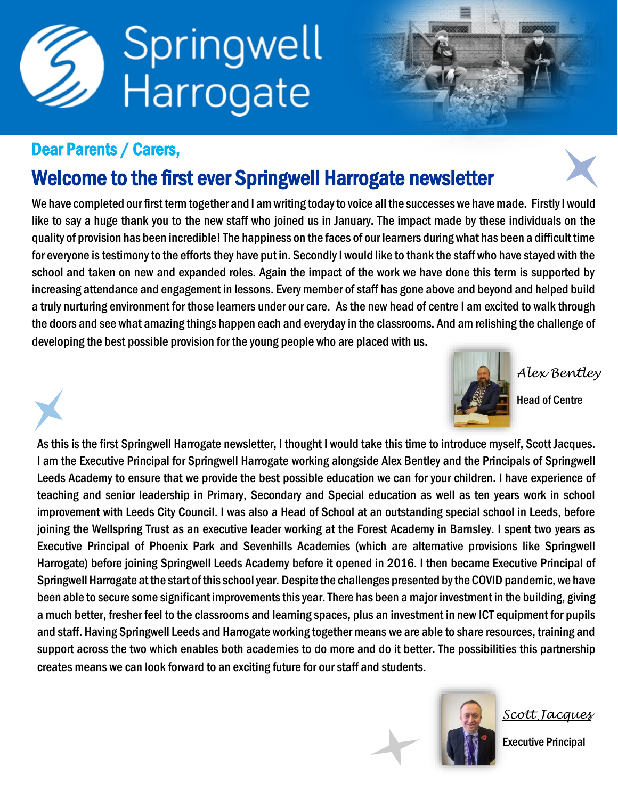

#### Dear Parents / Carers,

### Welcome to the first ever Springwell Harrogate newsletter

We have completed our first term together and I am writing today to voice all the successes we have made. Firstly I would like to say a huge thank you to the new staff who joined us in January. The impact made by these individuals on the quality of provision has been incredible! The happiness on the faces of our learners during what has been a difficult time for everyone is testimony to the efforts they have put in. Secondly I would like to thank the staff who have stayed with the school and taken on new and expanded roles. Again the impact of the work we have done this term is supported by increasing attendance and engagement in lessons. Every member of staff has gone above and beyond and helped build a truly nurturing environment for those learners under our care. As the new head of centre I am excited to walk through the doors and see what amazing things happen each and everyday in the classrooms. And am relishing the challenge of developing the best possible provision for the young people who are placed with us.



*Alex Bentley*

Head of Centre

As this is the first Springwell Harrogate newsletter, I thought I would take this time to introduce myself, Scott Jacques. I am the Executive Principal for Springwell Harrogate working alongside Alex Bentley and the Principals of Springwell Leeds Academy to ensure that we provide the best possible education we can for your children. I have experience of teaching and senior leadership in Primary, Secondary and Special education as well as ten years work in school improvement with Leeds City Council. I was also a Head of School at an outstanding special school in Leeds, before joining the Wellspring Trust as an executive leader working at the Forest Academy in Barnsley. I spent two years as Executive Principal of Phoenix Park and Sevenhills Academies (which are alternative provisions like Springwell Harrogate) before joining Springwell Leeds Academy before it opened in 2016. I then became Executive Principal of Springwell Harrogate at the start of this school year. Despite the challenges presented by the COVID pandemic, we have been able to secure some significant improvements this year. There has been a major investment in the building, giving a much better, fresher feel to the classrooms and learning spaces, plus an investment in new ICT equipment for pupils and staff. Having Springwell Leeds and Harrogate working together means we are able to share resources, training and support across the two which enables both academies to do more and do it better. The possibilities this partnership creates means we can look forward to an exciting future for our staff and students.



*Scott Jacques*

Executive Principal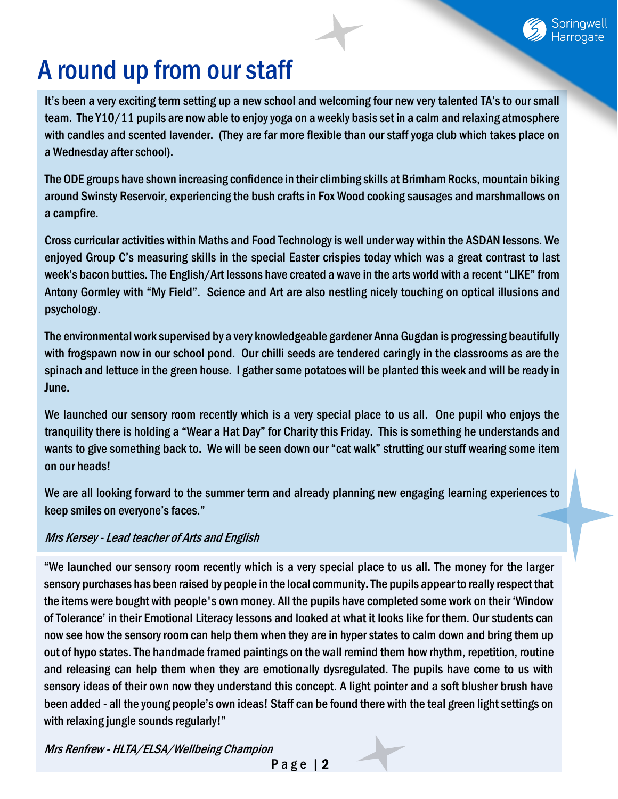# A round up from our staff

It's been a very exciting term setting up a new school and welcoming four new very talented TA's to our small team. The Y10/11 pupils are now able to enjoy yoga on a weekly basis set in a calm and relaxing atmosphere with candles and scented lavender. (They are far more flexible than our staff yoga club which takes place on a Wednesday after school).

The ODE groups have shown increasing confidence in their climbing skills at Brimham Rocks, mountain biking around Swinsty Reservoir, experiencing the bush crafts in Fox Wood cooking sausages and marshmallows on a campfire.

Cross curricular activities within Maths and Food Technology is well under way within the ASDAN lessons. We enjoyed Group C's measuring skills in the special Easter crispies today which was a great contrast to last week's bacon butties. The English/Art lessons have created a wave in the arts world with a recent "LIKE" from Antony Gormley with "My Field". Science and Art are also nestling nicely touching on optical illusions and psychology.

The environmental work supervised by a very knowledgeable gardener Anna Gugdan is progressing beautifully with frogspawn now in our school pond. Our chilli seeds are tendered caringly in the classrooms as are the spinach and lettuce in the green house. I gather some potatoes will be planted this week and will be ready in June.

We launched our sensory room recently which is a very special place to us all. One pupil who enjoys the tranquility there is holding a "Wear a Hat Day" for Charity this Friday. This is something he understands and wants to give something back to. We will be seen down our "cat walk" strutting our stuff wearing some item on our heads!

We are all looking forward to the summer term and already planning new engaging learning experiences to keep smiles on everyone's faces."

#### Mrs Kersey - Lead teacher of Arts and English

"We launched our sensory room recently which is a very special place to us all. The money for the larger sensory purchases has been raised by people in the local community. The pupils appear to really respect that the items were bought with people's own money. All the pupils have completed some work on their 'Window of Tolerance' in their Emotional Literacy lessons and looked at what it looks like for them. Our students can now see how the sensory room can help them when they are in hyper states to calm down and bring them up out of hypo states. The handmade framed paintings on the wall remind them how rhythm, repetition, routine and releasing can help them when they are emotionally dysregulated. The pupils have come to us with sensory ideas of their own now they understand this concept. A light pointer and a soft blusher brush have been added - all the young people's own ideas! Staff can be found there with the teal green light settings on with relaxing jungle sounds regularly!"

Mrs Renfrew - HLTA/ELSA/Wellbeing Champion